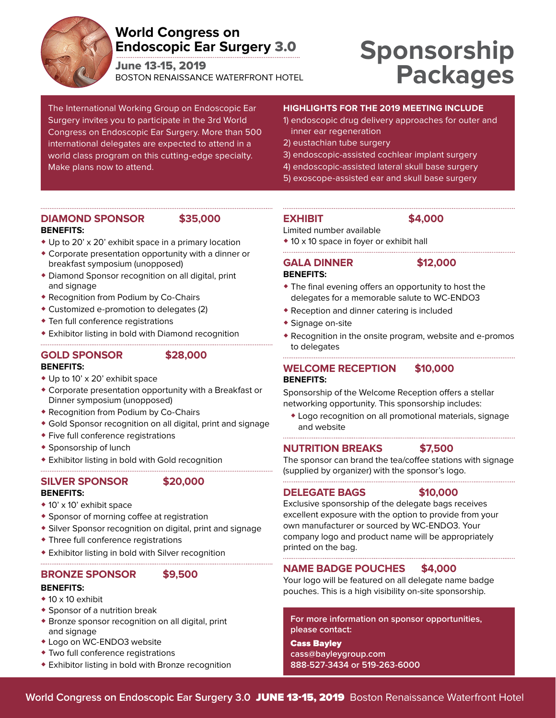

### **World Congress on Endoscopic Ear Surgery** 3.0

June 13-15, 2019 BOSTON RENAISSANCE WATERFRONT HOTEL

# **Sponsorship Packages**

The International Working Group on Endoscopic Ear Surgery invites you to participate in the 3rd World Congress on Endoscopic Ear Surgery. More than 500 international delegates are expected to attend in a world class program on this cutting-edge specialty. Make plans now to attend.

#### **HIGHLIGHTS FOR THE 2019 MEETING INCLUDE**

- 1) endoscopic drug delivery approaches for outer and inner ear regeneration
- 2) eustachian tube surgery
- 3) endoscopic-assisted cochlear implant surgery
- 4) endoscopic-assisted lateral skull base surgery
- 5) exoscope-assisted ear and skull base surgery

#### **DIAMOND SPONSOR \$35,000 BENEFITS:**

- ◆ Up to 20' x 20' exhibit space in a primary location
- ◆ Corporate presentation opportunity with a dinner or breakfast symposium (unopposed)
- ◆ Diamond Sponsor recognition on all digital, print and signage
- ◆ Recognition from Podium by Co-Chairs
- ◆ Customized e-promotion to delegates (2)

- ◆ Ten full conference registrations
- ◆ Exhibitor listing in bold with Diamond recognition

#### **GOLD SPONSOR \$28,000 BENEFITS:**

- ◆ Up to 10' x 20' exhibit space
- ◆ Corporate presentation opportunity with a Breakfast or Dinner symposium (unopposed)
- ◆ Recognition from Podium by Co-Chairs
- ◆ Gold Sponsor recognition on all digital, print and signage
- ◆ Five full conference registrations
- ◆ Sponsorship of lunch
- ◆ Exhibitor listing in bold with Gold recognition

#### **SILVER SPONSOR \$20,000**

#### **BENEFITS:**

- ◆ 10' x 10' exhibit space
- ◆ Sponsor of morning coffee at registration
- ◆ Silver Sponsor recognition on digital, print and signage
- ◆ Three full conference registrations
- ◆ Exhibitor listing in bold with Silver recognition

#### **BRONZE SPONSOR \$9,500**

#### **BENEFITS:**

- ◆ 10 x 10 exhibit
- ◆ Sponsor of a nutrition break
- ◆ Bronze sponsor recognition on all digital, print and signage
- ◆ Logo on WC-ENDO3 website
- ◆ Two full conference registrations
- ◆ Exhibitor listing in bold with Bronze recognition

### **EXHIBIT \$4,000**

- Limited number available
- ◆ 10 x 10 space in foyer or exhibit hall

#### **GALA DINNER \$12,000 BENEFITS:**

- ◆ The final evening offers an opportunity to host the delegates for a memorable salute to WC-ENDO3
- ◆ Reception and dinner catering is included
- ◆ Signage on-site
- ◆ Recognition in the onsite program, website and e-promos to delegates

#### **WELCOME RECEPTION \$10,000 BENEFITS:**

Sponsorship of the Welcome Reception offers a stellar networking opportunity. This sponsorship includes:

◆ Logo recognition on all promotional materials, signage and website

#### **NUTRITION BREAKS \$7,500**

The sponsor can brand the tea/coffee stations with signage (supplied by organizer) with the sponsor's logo.

#### **DELEGATE BAGS \$10,000**

Exclusive sponsorship of the delegate bags receives excellent exposure with the option to provide from your own manufacturer or sourced by WC-ENDO3. Your company logo and product name will be appropriately printed on the bag.

### **NAME BADGE POUCHES \$4,000**

Your logo will be featured on all delegate name badge pouches. This is a high visibility on-site sponsorship.

**For more information on sponsor opportunities, please contact:** 

 $\bullet$  **There is lunch and break service held in Exhibit Hall** ◆ **All exhibitors receive a 25-word description in the on-cass@bayleygroup.com site program 888-527-3434 or 519-263-6000**

◆ **Exhibit Hall is completely carpeted**